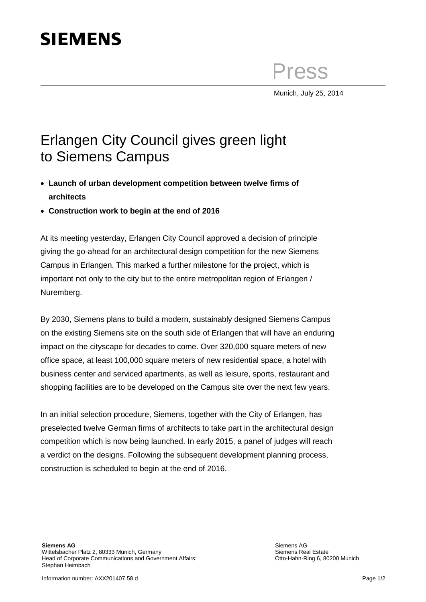## **SIEMENS**

Press

Munich, July 25, 2014

## Erlangen City Council gives green light to Siemens Campus

- **Launch of urban development competition between twelve firms of architects**
- **Construction work to begin at the end of 2016**

At its meeting yesterday, Erlangen City Council approved a decision of principle giving the go-ahead for an architectural design competition for the new Siemens Campus in Erlangen. This marked a further milestone for the project, which is important not only to the city but to the entire metropolitan region of Erlangen / Nuremberg.

By 2030, Siemens plans to build a modern, sustainably designed Siemens Campus on the existing Siemens site on the south side of Erlangen that will have an enduring impact on the cityscape for decades to come. Over 320,000 square meters of new office space, at least 100,000 square meters of new residential space, a hotel with business center and serviced apartments, as well as leisure, sports, restaurant and shopping facilities are to be developed on the Campus site over the next few years.

In an initial selection procedure, Siemens, together with the City of Erlangen, has preselected twelve German firms of architects to take part in the architectural design competition which is now being launched. In early 2015, a panel of judges will reach a verdict on the designs. Following the subsequent development planning process, construction is scheduled to begin at the end of 2016.

Siemens AG Siemens Real Estate Otto-Hahn-Ring 6, 80200 Munich